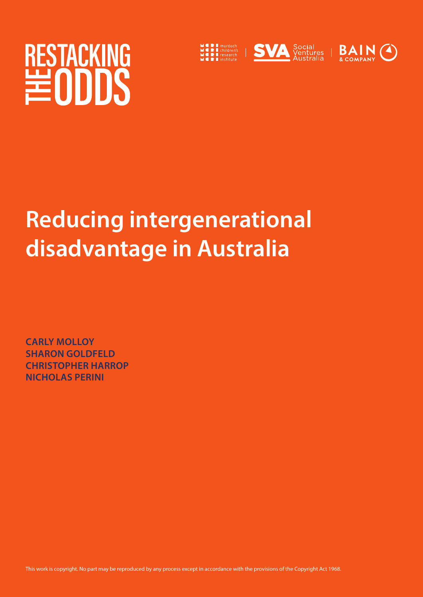# RESTACKING



## **Reducing intergenerational disadvantage in Australia**

**CARLY MOLLOY SHARON GOLDFELD CHRISTOPHER HARROP NICHOLAS PERINI**

This work is copyright. No part may be reproduced by any process except in accordance with the provisions of the Copyright Act 1968.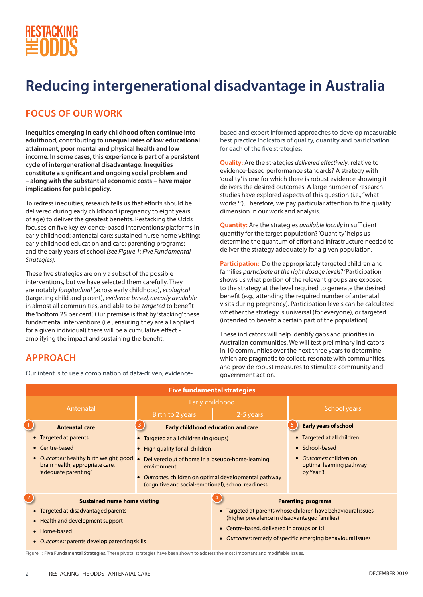

**APPROACH**

## **Reducing intergenerational disadvantage in Australia**

### **FOCUS OF OUR WORK**

**Inequities emerging in early childhood often continue into adulthood, contributing to unequal rates of low educational attainment, poor mental and physical health and low income. In some cases, this experience is part of a persistent cycle of intergenerational disadvantage. Inequities constitute a significant and ongoing social problem and – along with the substantial economic costs – have major implications for public policy.**

To redress inequities, research tells us that efforts should be delivered during early childhood (pregnancy to eight years of age) to deliver the greatest benefits. Restacking the Odds focuses on five key evidence-based interventions/platforms in early childhood: antenatal care; sustained nurse home visiting; early childhood education and care; parenting programs; and the early years of school *(see Figure 1: Five Fundamental Strategies).* 

These five strategies are only a subset of the possible interventions, but we have selected them carefully. They are notably *longitudinal* (across early childhood), *ecological* (targeting child and parent), *evidence-based, already available* in almost all communities, and able to be *targeted* to benefit the 'bottom 25 per cent'. Our premise is that by 'stacking' these fundamental interventions (i.e., ensuring they are all applied for a given individual) there will be a cumulative effect amplifying the impact and sustaining the benefit.

Our intent is to use a combination of data-driven, evidence-

based and expert informed approaches to develop measurable best practice indicators of quality, quantity and participation for each of the five strategies:

**Quality:** Are the strategies *delivered effectively*, relative to evidence-based performance standards? A strategy with 'quality' is one for which there is robust evidence showing it delivers the desired outcomes. A large number of research studies have explored aspects of this question (i.e., "what works?"). Therefore, we pay particular attention to the quality dimension in our work and analysis.

**Quantity:** Are the strategies *available locally* in sufficient quantity for the target population? 'Quantity' helps us determine the quantum of effort and infrastructure needed to deliver the strategy adequately for a given population.

**Participation:** Do the appropriately targeted children and families *participate at the right dosage levels*? 'Participation' shows us what portion of the relevant groups are exposed to the strategy at the level required to generate the desired benefit (e.g., attending the required number of antenatal visits during pregnancy). Participation levels can be calculated whether the strategy is universal (for everyone), or targeted (intended to benefit a certain part of the population).

These indicators will help identify gaps and priorities in Australian communities. We will test preliminary indicators in 10 communities over the next three years to determine which are pragmatic to collect, resonate with communities, and provide robust measures to stimulate community and government action.

| <b>Five fundamental strategies</b>                                                                     |                                                                                                                                                                                 |                                                                       |                                                                |  |  |  |  |
|--------------------------------------------------------------------------------------------------------|---------------------------------------------------------------------------------------------------------------------------------------------------------------------------------|-----------------------------------------------------------------------|----------------------------------------------------------------|--|--|--|--|
| Antenatal                                                                                              | Early childhood                                                                                                                                                                 |                                                                       | <b>School years</b>                                            |  |  |  |  |
|                                                                                                        | Birth to 2 years<br>2-5 years                                                                                                                                                   |                                                                       |                                                                |  |  |  |  |
| <b>Antenatal care</b>                                                                                  |                                                                                                                                                                                 | <b>Early childhood education and care</b>                             | <b>Early years of school</b>                                   |  |  |  |  |
| • Targeted at parents                                                                                  | • Targeted at all children (in groups)                                                                                                                                          |                                                                       | • Targeted at all children                                     |  |  |  |  |
| Centre-based                                                                                           | • High quality for all children                                                                                                                                                 |                                                                       | • School-based                                                 |  |  |  |  |
| <b>Outcomes: healthy birth weight, good</b><br>brain health, appropriate care,<br>'adequate parenting' | Delivered out of home in a 'pseudo-home-learning<br>environment'<br>• Outcomes: children on optimal developmental pathway<br>(cognitive and social-emotional), school readiness |                                                                       | Outcomes: children on<br>optimal learning pathway<br>by Year 3 |  |  |  |  |
| $\overline{2}$<br><b>Sustained nurse home visiting</b>                                                 | <b>Parenting programs</b>                                                                                                                                                       |                                                                       |                                                                |  |  |  |  |
| Targeted at disadvantaged parents                                                                      |                                                                                                                                                                                 | Targeted at parents whose children have behavioural issues            |                                                                |  |  |  |  |
| • Health and development support                                                                       |                                                                                                                                                                                 | (higher prevalence in disadvantaged families)                         |                                                                |  |  |  |  |
| Home-based                                                                                             |                                                                                                                                                                                 | • Centre-based, delivered in groups or 1:1                            |                                                                |  |  |  |  |
| • Outcomes: parents develop parenting skills                                                           |                                                                                                                                                                                 | Outcomes: remedy of specific emerging behavioural issues<br>$\bullet$ |                                                                |  |  |  |  |

Figure 1: F**ive Fundamental Strategies**. These pivotal strategies have been shown to address the most important and modifiable issues.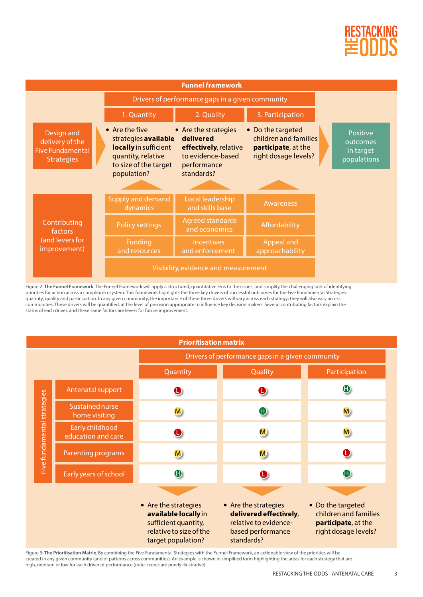

| <b>Funnel framework</b>                                                       |                                                                                                                                       |                                                                                                              |                                                                                           |                                                  |  |  |
|-------------------------------------------------------------------------------|---------------------------------------------------------------------------------------------------------------------------------------|--------------------------------------------------------------------------------------------------------------|-------------------------------------------------------------------------------------------|--------------------------------------------------|--|--|
|                                                                               | Drivers of performance gaps in a given community                                                                                      |                                                                                                              |                                                                                           |                                                  |  |  |
|                                                                               | 1. Quantity                                                                                                                           | 2. Quality                                                                                                   | 3. Participation                                                                          |                                                  |  |  |
| Design and<br>delivery of the<br><b>Five Fundamental</b><br><b>Strategies</b> | $\bullet$ Are the five<br>strategies available<br>locally in sufficient<br>quantity, relative<br>to size of the target<br>population? | • Are the strategies<br>delivered<br>effectively, relative<br>to evidence-based<br>performance<br>standards? | • Do the targeted<br>children and families<br>participate, at the<br>right dosage levels? | Positive<br>outcomes<br>in target<br>populations |  |  |
|                                                                               | Supply and demand<br>dynamics                                                                                                         | Local leadership<br>and skills base                                                                          | Awareness                                                                                 |                                                  |  |  |
| Contributing<br>factors<br>(and levers for<br>improvement)                    | <b>Policy settings</b>                                                                                                                | <b>Agreed standards</b><br>and economics                                                                     | Affordability                                                                             |                                                  |  |  |
|                                                                               | Funding<br>and resources                                                                                                              | <b>Incentives</b><br>and enforcement                                                                         | Appeal and<br>approachability                                                             |                                                  |  |  |
|                                                                               | Visibility, evidence and measurement                                                                                                  |                                                                                                              |                                                                                           |                                                  |  |  |

Figure 2: **The Funnel Framework**. The Funnel Framework will apply a structured, quantitative lens to the issues, and simplify the challenging task of identifying priorities for action across a complex ecosystem. This framework highlights the three key drivers of successful outcomes for the Five Fundamental Strategies: quantity, quality and participation. In any given community, the importance of these three drivers will vary across each strategy; they will also vary across communities. These drivers will be quantified, at the level of precision appropriate to influence key decision makers. Several contributing factors explain the status of each driver, and these same factors are levers for future improvement.

| <b>Prioritisation matrix</b> |                                         |                                                                                                                       |                                                                                                            |                                                                                           |  |  |  |
|------------------------------|-----------------------------------------|-----------------------------------------------------------------------------------------------------------------------|------------------------------------------------------------------------------------------------------------|-------------------------------------------------------------------------------------------|--|--|--|
|                              |                                         | Drivers of performance gaps in a given community                                                                      |                                                                                                            |                                                                                           |  |  |  |
|                              |                                         | Quantity                                                                                                              | Quality                                                                                                    | Participation                                                                             |  |  |  |
|                              | Antenatal support                       | $\mathbf 0$                                                                                                           | $\mathbf 0$                                                                                                | $\mathbf 0$                                                                               |  |  |  |
|                              | <b>Sustained nurse</b><br>home visiting | M                                                                                                                     | $\bullet$                                                                                                  | <b>M</b>                                                                                  |  |  |  |
| Five fundamental strategies  | Early childhood<br>education and care   | $\mathbf 0$                                                                                                           | $\mathbf{M}$                                                                                               | <b>M</b>                                                                                  |  |  |  |
|                              | Parenting programs                      | M                                                                                                                     | <b>M</b>                                                                                                   | $\mathbf 0$                                                                               |  |  |  |
|                              | Early years of school                   | $\mathbf 0$                                                                                                           |                                                                                                            | 0                                                                                         |  |  |  |
|                              |                                         | • Are the strategies<br>available locally in<br>sufficient quantity,<br>relative to size of the<br>target population? | • Are the strategies<br>delivered effectively,<br>relative to evidence-<br>based performance<br>standards? | • Do the targeted<br>children and families<br>participate, at the<br>right dosage levels? |  |  |  |

Figure 3: **The Prioritisation Matrix**. By combining the Five Fundamental Strategies with the Funnel Framework, an actionable view of the priorities will be created in any given community (and of patterns across communities). An example is shown in simplified form highlighting the areas for each strategy that are high, medium or low for each driver of performance (note: scores are purely illustrative).